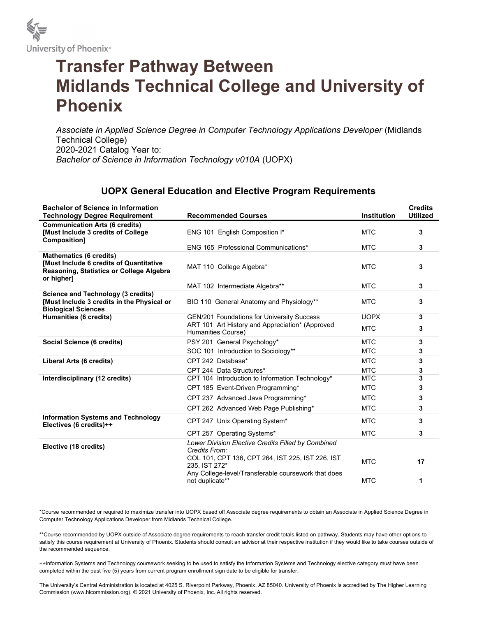

## Transfer Pathway Between Midlands Technical College and University of Phoenix

Associate in Applied Science Degree in Computer Technology Applications Developer (Midlands Technical College) 2020-2021 Catalog Year to: Bachelor of Science in Information Technology v010A (UOPX)

## UOPX General Education and Elective Program Requirements

| <b>Bachelor of Science in Information</b><br><b>Technology Degree Requirement</b>                                                         | <b>Recommended Courses</b>                                                                                               | Institution | <b>Credits</b><br><b>Utilized</b> |
|-------------------------------------------------------------------------------------------------------------------------------------------|--------------------------------------------------------------------------------------------------------------------------|-------------|-----------------------------------|
| <b>Communication Arts (6 credits)</b><br><b>[Must Include 3 credits of College</b><br>Composition]                                        | ENG 101 English Composition I*                                                                                           | <b>MTC</b>  | 3                                 |
|                                                                                                                                           | <b>ENG 165 Professional Communications*</b>                                                                              | <b>MTC</b>  | 3                                 |
| <b>Mathematics (6 credits)</b><br><b>Must Include 6 credits of Quantitative</b><br>Reasoning, Statistics or College Algebra<br>or higher] | MAT 110 College Algebra*                                                                                                 | <b>MTC</b>  | 3                                 |
|                                                                                                                                           | MAT 102 Intermediate Algebra**                                                                                           | <b>MTC</b>  | 3                                 |
| <b>Science and Technology (3 credits)</b><br>[Must Include 3 credits in the Physical or<br><b>Biological Sciences</b>                     | BIO 110 General Anatomy and Physiology**                                                                                 | <b>MTC</b>  | 3                                 |
| Humanities (6 credits)                                                                                                                    | GEN/201 Foundations for University Success                                                                               | <b>UOPX</b> | 3                                 |
|                                                                                                                                           | ART 101 Art History and Appreciation* (Approved<br>Humanities Course)                                                    | <b>MTC</b>  | 3                                 |
| Social Science (6 credits)                                                                                                                | PSY 201 General Psychology*                                                                                              | <b>MTC</b>  | 3                                 |
|                                                                                                                                           | SOC 101 Introduction to Sociology**                                                                                      | <b>MTC</b>  | 3                                 |
| Liberal Arts (6 credits)                                                                                                                  | CPT 242 Database*                                                                                                        | <b>MTC</b>  | 3                                 |
|                                                                                                                                           | CPT 244 Data Structures*                                                                                                 | <b>MTC</b>  | 3                                 |
| Interdisciplinary (12 credits)                                                                                                            | CPT 104 Introduction to Information Technology*                                                                          | <b>MTC</b>  | 3                                 |
|                                                                                                                                           | CPT 185 Event-Driven Programming*                                                                                        | <b>MTC</b>  | 3                                 |
|                                                                                                                                           | CPT 237 Advanced Java Programming*                                                                                       | <b>MTC</b>  | 3                                 |
|                                                                                                                                           | CPT 262 Advanced Web Page Publishing*                                                                                    | <b>MTC</b>  | 3                                 |
| <b>Information Systems and Technology</b><br>Electives (6 credits)++                                                                      | CPT 247 Unix Operating System*                                                                                           | <b>MTC</b>  | 3                                 |
|                                                                                                                                           | CPT 257 Operating Systems*                                                                                               | <b>MTC</b>  | 3                                 |
| Elective (18 credits)                                                                                                                     | Lower Division Elective Credits Filled by Combined<br>Credits From:                                                      |             |                                   |
|                                                                                                                                           | COL 101, CPT 136, CPT 264, IST 225, IST 226, IST<br>235. IST 272*<br>Any College-level/Transferable coursework that does | <b>MTC</b>  | 17                                |
|                                                                                                                                           | not duplicate**                                                                                                          | <b>MTC</b>  | 1                                 |

\*Course recommended or required to maximize transfer into UOPX based off Associate degree requirements to obtain an Associate in Applied Science Degree in Computer Technology Applications Developer from Midlands Technical College.

\*\*Course recommended by UOPX outside of Associate degree requirements to reach transfer credit totals listed on pathway. Students may have other options to satisfy this course requirement at University of Phoenix. Students should consult an advisor at their respective institution if they would like to take courses outside of the recommended sequence.

++Information Systems and Technology coursework seeking to be used to satisfy the Information Systems and Technology elective category must have been completed within the past five (5) years from current program enrollment sign date to be eligible for transfer.

The University's Central Administration is located at 4025 S. Riverpoint Parkway, Phoenix, AZ 85040. University of Phoenix is accredited by The Higher Learning Commission (www.hlcommission.org). © 2021 University of Phoenix, Inc. All rights reserved.